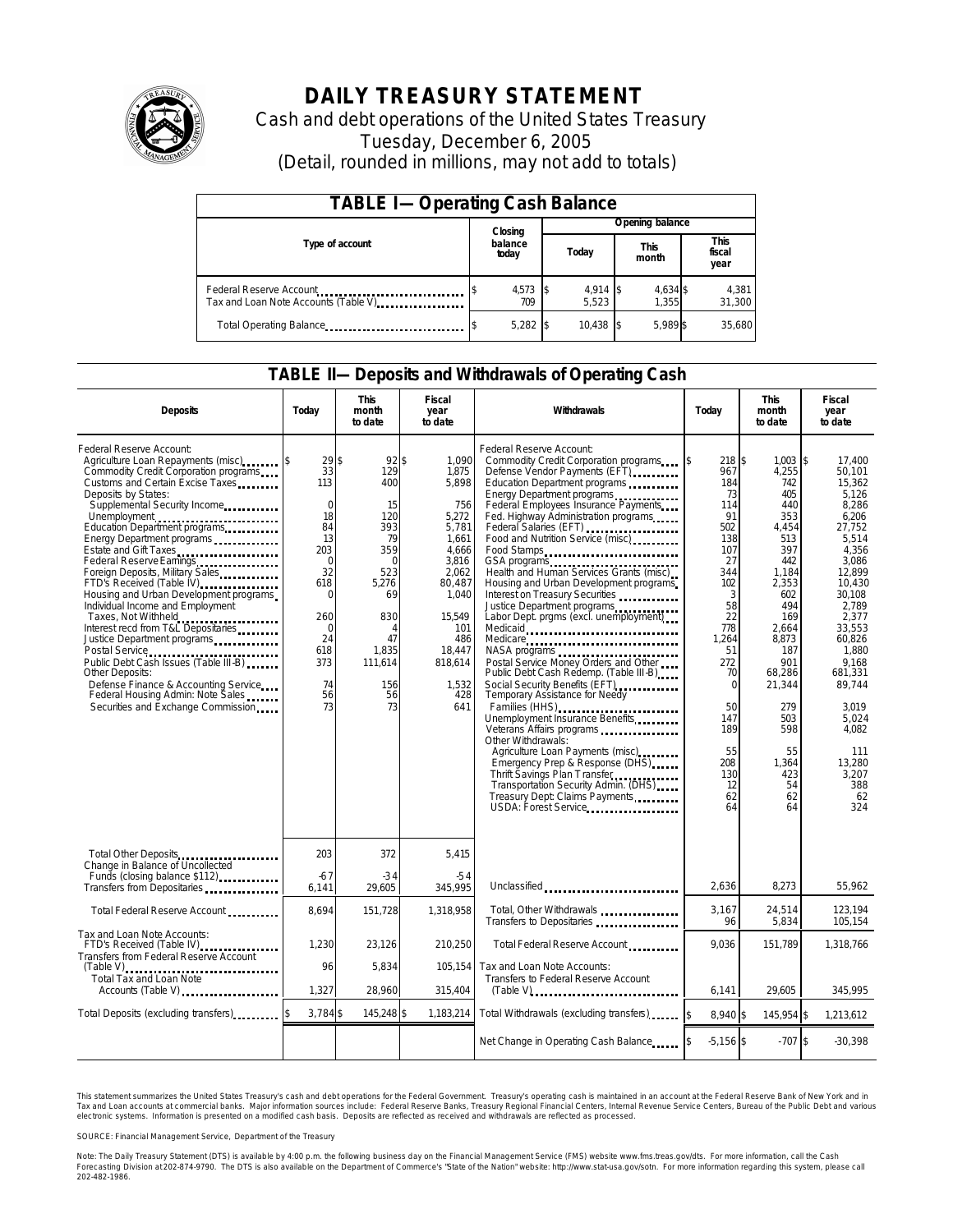

# **DAILY TREASURY STATEMENT**

Cash and debt operations of the United States Treasury Tuesday, December 6, 2005 (Detail, rounded in millions, may not add to totals)

| <b>TABLE I-Operating Cash Balance</b>                            |                  |                 |  |                     |  |                      |  |                               |
|------------------------------------------------------------------|------------------|-----------------|--|---------------------|--|----------------------|--|-------------------------------|
|                                                                  |                  | Closing         |  | Opening balance     |  |                      |  |                               |
| Type of account                                                  | balance<br>today |                 |  | Today               |  | <b>This</b><br>month |  | <b>This</b><br>fiscal<br>year |
| Federal Reserve Account<br>Tax and Loan Note Accounts (Table V). |                  | 4,573 \$<br>709 |  | $4,914$ \$<br>5.523 |  | 4,634 \$<br>1,355    |  | 4,381<br>31,300               |
| Total Operating Balance                                          |                  | $5,282$ \$      |  | 10.438              |  | 5.989 \$             |  | 35.680                        |

#### **TABLE II—Deposits and Withdrawals of Operating Cash**

| <b>Deposits</b>                                                                                                                                                                                                                                                                                                                                                                                                                                                                                                                                                                                                                                                                                                                                                                                                                     | Today                                                                                                                                                  | <b>This</b><br>month<br>to date                                                                                                                                | <b>Fiscal</b><br>year<br>to date                                                                                                                                            | Withdrawals                                                                                                                                                                                                                                                                                                                                                                                                                                                                                                                                                                                                                                                                                                                                                                                                                                                                                                                                 | Todav                                                                                                                                                                                                      | <b>This</b><br>month<br>to date                                                                                                                                                                                                  | Fiscal<br>year<br>to date                                                                                                                                                                                                                                                             |
|-------------------------------------------------------------------------------------------------------------------------------------------------------------------------------------------------------------------------------------------------------------------------------------------------------------------------------------------------------------------------------------------------------------------------------------------------------------------------------------------------------------------------------------------------------------------------------------------------------------------------------------------------------------------------------------------------------------------------------------------------------------------------------------------------------------------------------------|--------------------------------------------------------------------------------------------------------------------------------------------------------|----------------------------------------------------------------------------------------------------------------------------------------------------------------|-----------------------------------------------------------------------------------------------------------------------------------------------------------------------------|---------------------------------------------------------------------------------------------------------------------------------------------------------------------------------------------------------------------------------------------------------------------------------------------------------------------------------------------------------------------------------------------------------------------------------------------------------------------------------------------------------------------------------------------------------------------------------------------------------------------------------------------------------------------------------------------------------------------------------------------------------------------------------------------------------------------------------------------------------------------------------------------------------------------------------------------|------------------------------------------------------------------------------------------------------------------------------------------------------------------------------------------------------------|----------------------------------------------------------------------------------------------------------------------------------------------------------------------------------------------------------------------------------|---------------------------------------------------------------------------------------------------------------------------------------------------------------------------------------------------------------------------------------------------------------------------------------|
| Federal Reserve Account:<br>Agriculture Loan Repayments (misc)<br>Commodity Credit Corporation programs<br>Customs and Certain Excise Taxes<br>Deposits by States:<br>Supplemental Security Income<br>Unemployment<br>Education Department programs<br>Energy Department programs<br>Estate and Gift Taxes<br>Federal Reserve Earnings [19] Federal Reserve Earnings<br>Foreign Deposits, Military Sales<br>FTD's Received (Table IV)<br>FTD's Received (Table IV)<br>Housing and Urban Development programs<br>Individual Income and Employment<br>Taxes, Not Withheld<br>Interest recd from T&L Depositaries<br>Justice Department programs<br>Public Debt Cash Issues (Table III-B)<br><b>Other Deposits:</b><br>Defense Finance & Accounting Service<br>Federal Housing Admin: Note Sales<br>Securities and Exchange Commission | 29S<br>33<br>113<br>$\Omega$<br>18<br>84<br>13<br>203<br>$\Omega$<br>32<br>618<br>$\Omega$<br>260<br>$\mathbf 0$<br>24<br>618<br>373<br>74<br>56<br>73 | $92$ \$<br>129<br>400<br>15<br>120<br>393<br>79<br>359<br>$\Omega$<br>523<br>5,276<br>69<br>830<br>$\overline{4}$<br>47<br>1,835<br>111,614<br>156<br>56<br>73 | 1.090<br>1,875<br>5,898<br>756<br>5,272<br>5.781<br>1,661<br>4,666<br>3,816<br>2.062<br>80,487<br>1,040<br>15,549<br>101<br>486<br>18,447<br>818,614<br>1,532<br>428<br>641 | Federal Reserve Account:<br>Commodity Credit Corporation programs<br>Defense Vendor Payments (EFT)<br>Education Department programs<br>Energy Department programs<br>Federal Employees Insurance Payments<br>Fed. Highway Administration programs<br>Food and Nutrition Service (misc)<br>Food Stamps<br>GSA programs<br>Health and Human Services Grants (misc)<br>Housing and Urban Development programs<br>Interest on Treasury Securities<br>Justice Department programs<br>Labor Dept. prgms (excl. unemployment)<br>Medicare<br>Postal Service Money Orders and Other<br>Public Debt Cash Redemp. (Table III-B)<br>Temporary Assistance for Needy<br>Families (HHS)<br>Unemployment Insurance Benefits<br>Other Withdrawals:<br>Agriculture Loan Payments (misc)<br>Emergency Prep & Response (DHS)<br>Thrift Savings Plan Transfer<br>Transportation Security Admin. (DHS)<br>Treasury Dept: Claims Payments<br>USDA: Forest Service | 218 \$<br>967<br>184<br>73<br>114<br>91<br>502<br>138<br>107<br>27<br>344<br>102<br>3<br>58<br>22<br>778<br>1,264<br>51<br>272<br>70<br>$\Omega$<br>50<br>147<br>189<br>55<br>208<br>130<br>12<br>62<br>64 | 1,003<br>4,255<br>742<br>405<br>440<br>353<br>4.454<br>513<br>397<br>442<br>1,184<br>2,353<br>602<br>494<br>169<br>2,664<br>8,873<br>187<br>901<br>68,286<br>21,344<br>279<br>503<br>598<br>55<br>1,364<br>423<br>54<br>62<br>64 | 1\$<br>17.400<br>50.101<br>15,362<br>5,126<br>8.286<br>6,206<br>27.752<br>5,514<br>4.356<br>3,086<br>12.899<br>10.430<br>30.108<br>2.789<br>2,377<br>33,553<br>60.826<br>1,880<br>9.168<br>681.331<br>89,744<br>3,019<br>5,024<br>4.082<br>111<br>13,280<br>3,207<br>388<br>62<br>324 |
| Total Other Deposits<br>Change in Balance of Uncollected                                                                                                                                                                                                                                                                                                                                                                                                                                                                                                                                                                                                                                                                                                                                                                            | 203                                                                                                                                                    | 372                                                                                                                                                            | 5,415                                                                                                                                                                       |                                                                                                                                                                                                                                                                                                                                                                                                                                                                                                                                                                                                                                                                                                                                                                                                                                                                                                                                             |                                                                                                                                                                                                            |                                                                                                                                                                                                                                  |                                                                                                                                                                                                                                                                                       |
| Funds (closing balance \$112)<br>Funds<br>Transfers from Depositaries                                                                                                                                                                                                                                                                                                                                                                                                                                                                                                                                                                                                                                                                                                                                                               | $-67$<br>6,141                                                                                                                                         | $-34$<br>29,605                                                                                                                                                | $-54$<br>345.995                                                                                                                                                            | Unclassified                                                                                                                                                                                                                                                                                                                                                                                                                                                                                                                                                                                                                                                                                                                                                                                                                                                                                                                                | 2.636                                                                                                                                                                                                      | 8.273                                                                                                                                                                                                                            | 55.962                                                                                                                                                                                                                                                                                |
| Total Federal Reserve Account                                                                                                                                                                                                                                                                                                                                                                                                                                                                                                                                                                                                                                                                                                                                                                                                       | 8.694                                                                                                                                                  | 151.728                                                                                                                                                        | 1.318.958                                                                                                                                                                   | Total, Other Withdrawals<br>Transfers to Depositaries                                                                                                                                                                                                                                                                                                                                                                                                                                                                                                                                                                                                                                                                                                                                                                                                                                                                                       | 3,167<br>96                                                                                                                                                                                                | 24,514<br>5,834                                                                                                                                                                                                                  | 123,194<br>105,154                                                                                                                                                                                                                                                                    |
| Tax and Loan Note Accounts:<br>FTD's Received (Table IV)<br>Transfers from Federal Reserve Account                                                                                                                                                                                                                                                                                                                                                                                                                                                                                                                                                                                                                                                                                                                                  | 1,230                                                                                                                                                  | 23,126                                                                                                                                                         | 210,250                                                                                                                                                                     | Total Federal Reserve Account                                                                                                                                                                                                                                                                                                                                                                                                                                                                                                                                                                                                                                                                                                                                                                                                                                                                                                               | 9.036                                                                                                                                                                                                      | 151,789                                                                                                                                                                                                                          | 1,318,766                                                                                                                                                                                                                                                                             |
| $(Table V)$<br>Total Tax and Loan Note<br>Accounts (Table V)                                                                                                                                                                                                                                                                                                                                                                                                                                                                                                                                                                                                                                                                                                                                                                        | 96<br>1,327                                                                                                                                            | 5,834<br>28,960                                                                                                                                                | 105.154<br>315,404                                                                                                                                                          | Tax and Loan Note Accounts:<br>Transfers to Federal Reserve Account<br>$(Table V)$ <sub>1111111111111111111111111111111</sub>                                                                                                                                                                                                                                                                                                                                                                                                                                                                                                                                                                                                                                                                                                                                                                                                               | 6,141                                                                                                                                                                                                      | 29,605                                                                                                                                                                                                                           | 345,995                                                                                                                                                                                                                                                                               |
| Total Deposits (excluding transfers)                                                                                                                                                                                                                                                                                                                                                                                                                                                                                                                                                                                                                                                                                                                                                                                                | 3.784 \$                                                                                                                                               | 145,248 \$                                                                                                                                                     | 1,183,214                                                                                                                                                                   | Total Withdrawals (excluding transfers)                                                                                                                                                                                                                                                                                                                                                                                                                                                                                                                                                                                                                                                                                                                                                                                                                                                                                                     | 8.940 \$                                                                                                                                                                                                   | 145,954 \$                                                                                                                                                                                                                       | 1,213,612                                                                                                                                                                                                                                                                             |
|                                                                                                                                                                                                                                                                                                                                                                                                                                                                                                                                                                                                                                                                                                                                                                                                                                     |                                                                                                                                                        |                                                                                                                                                                |                                                                                                                                                                             | Net Change in Operating Cash Balance                                                                                                                                                                                                                                                                                                                                                                                                                                                                                                                                                                                                                                                                                                                                                                                                                                                                                                        | $-5,156$ \$                                                                                                                                                                                                | $-707S$                                                                                                                                                                                                                          | $-30,398$                                                                                                                                                                                                                                                                             |

This statement summarizes the United States Treasury's cash and debt operations for the Federal Government. Treasury's operating cash is maintained in an account at the Federal Reserve Bank of New York and in Tax and Loan accounts at commercial banks. Major information sources include: Federal Reserve Banks, Treasury Regional Financial Centers, Internal Revenue Service Centers, Bureau of the Public Debt and various<br>electronic s

SOURCE: Financial Management Service, Department of the Treasury

Note: The Daily Treasury Statement (DTS) is available by 4:00 p.m. the following business day on the Financial Management Service (FMS) website www.fms.treas.gov/dts.<br>Forecasting Division at 202-874-9790. The DTS is also a 'S) is available by 4:00 p.m. the following business day on the Financial Management Service (FMS) website www.fms.treas.gov/dts. For more information, call the Cash<br>The DTS is also available on the Department of Commerce'